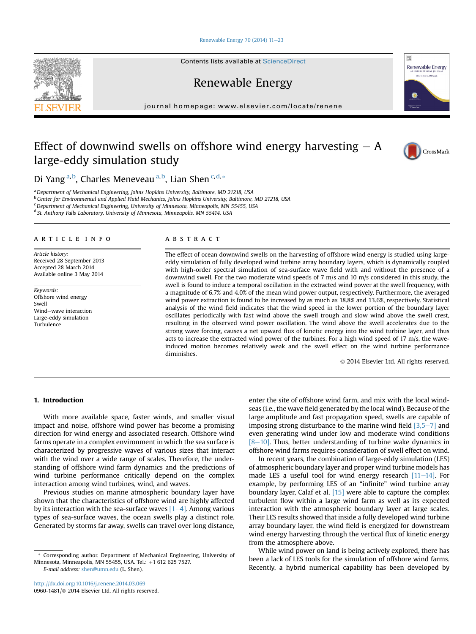#### Renewable Energy 70 (2014)  $11-23$  $11-23$

Contents lists available at ScienceDirect

Renewable Energy

journal homepage: [www.elsevier.com/locate/renene](http://www.elsevier.com/locate/renene)

## Effect of downwind swells on offshore wind energy harvesting  $- A$ large-eddy simulation study



<sup>a</sup> Department of Mechanical Engineering, Johns Hopkins University, Baltimore, MD 21218, USA <sup>b</sup> Center for Environmental and Applied Fluid Mechanics, Johns Hopkins University, Baltimore, MD 21218, USA <sup>c</sup> Department of Mechanical Engineering, University of Minnesota, Minneapolis, MN 55455, USA

<sup>d</sup> St. Anthony Falls Laboratory, University of Minnesota, Minneapolis, MN 55414, USA

#### article info

Article history: Received 28 September 2013 Accepted 28 March 2014 Available online 3 May 2014

Keywords: Offshore wind energy Swell Wind-wave interaction Large-eddy simulation Turbulence

### ABSTRACT

The effect of ocean downwind swells on the harvesting of offshore wind energy is studied using largeeddy simulation of fully developed wind turbine array boundary layers, which is dynamically coupled with high-order spectral simulation of sea-surface wave field with and without the presence of a downwind swell. For the two moderate wind speeds of 7 m/s and 10 m/s considered in this study, the swell is found to induce a temporal oscillation in the extracted wind power at the swell frequency, with a magnitude of 6.7% and 4.0% of the mean wind power output, respectively. Furthermore, the averaged wind power extraction is found to be increased by as much as 18.8% and 13.6%, respectively. Statistical analysis of the wind field indicates that the wind speed in the lower portion of the boundary layer oscillates periodically with fast wind above the swell trough and slow wind above the swell crest, resulting in the observed wind power oscillation. The wind above the swell accelerates due to the strong wave forcing, causes a net upward flux of kinetic energy into the wind turbine layer, and thus acts to increase the extracted wind power of the turbines. For a high wind speed of 17 m/s, the waveinduced motion becomes relatively weak and the swell effect on the wind turbine performance diminishes.

2014 Elsevier Ltd. All rights reserved.

#### 1. Introduction

With more available space, faster winds, and smaller visual impact and noise, offshore wind power has become a promising direction for wind energy and associated research. Offshore wind farms operate in a complex environment in which the sea surface is characterized by progressive waves of various sizes that interact with the wind over a wide range of scales. Therefore, the understanding of offshore wind farm dynamics and the predictions of wind turbine performance critically depend on the complex interaction among wind turbines, wind, and waves.

Previous studies on marine atmospheric boundary layer have shown that the characteristics of offshore wind are highly affected by its interaction with the sea-surface waves  $[1-4]$ . Among various types of sea-surface waves, the ocean swells play a distinct role. Generated by storms far away, swells can travel over long distance,

E-mail address: [shen@umn.edu](mailto:shen@umn.edu) (L. Shen).

enter the site of offshore wind farm, and mix with the local windseas (i.e., the wave field generated by the local wind). Because of the large amplitude and fast propagation speed, swells are capable of imposing strong disturbance to the marine wind field  $[3,5-7]$  and even generating wind under low and moderate wind conditions  $[8-10]$ . Thus, better understanding of turbine wake dynamics in offshore wind farms requires consideration of swell effect on wind.

In recent years, the combination of large-eddy simulation (LES) of atmospheric boundary layer and proper wind turbine models has made LES a useful tool for wind energy research  $[11-14]$ . For example, by performing LES of an "infinite" wind turbine array boundary layer, Calaf et al. [15] were able to capture the complex turbulent flow within a large wind farm as well as its expected interaction with the atmospheric boundary layer at large scales. Their LES results showed that inside a fully developed wind turbine array boundary layer, the wind field is energized for downstream wind energy harvesting through the vertical flux of kinetic energy from the atmosphere above.

While wind power on land is being actively explored, there has been a lack of LES tools for the simulation of offshore wind farms. Recently, a hybrid numerical capability has been developed by





CrossMark

Corresponding author. Department of Mechanical Engineering, University of Minnesota, Minneapolis, MN 55455, USA. Tel.: +1 612 625 7527.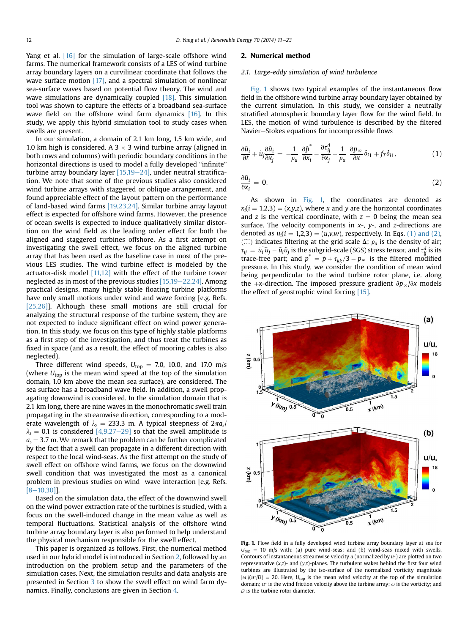Yang et al. [16] for the simulation of large-scale offshore wind farms. The numerical framework consists of a LES of wind turbine array boundary layers on a curvilinear coordinate that follows the wave surface motion [17], and a spectral simulation of nonlinear sea-surface waves based on potential flow theory. The wind and wave simulations are dynamically coupled [18]. This simulation tool was shown to capture the effects of a broadband sea-surface wave field on the offshore wind farm dynamics [16]. In this study, we apply this hybrid simulation tool to study cases when swells are present.

In our simulation, a domain of 2.1 km long, 1.5 km wide, and 1.0 km high is considered. A  $3 \times 3$  wind turbine array (aligned in both rows and columns) with periodic boundary conditions in the horizontal directions is used to model a fully developed "infinite" turbine array boundary layer  $[15,19–24]$ , under neutral stratification. We note that some of the previous studies also considered wind turbine arrays with staggered or oblique arrangement, and found appreciable effect of the layout pattern on the performance of land-based wind farms [19,23,24]. Similar turbine array layout effect is expected for offshore wind farms. However, the presence of ocean swells is expected to induce qualitatively similar distortion on the wind field as the leading order effect for both the aligned and staggered turbines offshore. As a first attempt on investigating the swell effect, we focus on the aligned turbine array that has been used as the baseline case in most of the previous LES studies. The wind turbine effect is modeled by the actuator-disk model [11,12] with the effect of the turbine tower neglected as in most of the previous studies  $[15,19-22,24]$ . Among practical designs, many highly stable floating turbine platforms have only small motions under wind and wave forcing [e.g. Refs. [25,26]]. Although these small motions are still crucial for analyzing the structural response of the turbine system, they are not expected to induce significant effect on wind power generation. In this study, we focus on this type of highly stable platforms as a first step of the investigation, and thus treat the turbines as fixed in space (and as a result, the effect of mooring cables is also neglected).

Three different wind speeds,  $U_{top} = 7.0$ , 10.0, and 17.0 m/s (where  $U_{top}$  is the mean wind speed at the top of the simulation domain, 1.0 km above the mean sea surface), are considered. The sea surface has a broadband wave field. In addition, a swell propagating downwind is considered. In the simulation domain that is 2.1 km long, there are nine waves in the monochromatic swell train propagating in the streamwise direction, corresponding to a moderate wavelength of  $\lambda_s = 233.3$  m. A typical steepness of  $2\pi a_s/$  $\lambda_s = 0.1$  is considered [4,9,27–29] so that the swell amplitude is  $a<sub>s</sub> = 3.7$  m. We remark that the problem can be further complicated by the fact that a swell can propagate in a different direction with respect to the local wind-seas. As the first attempt on the study of swell effect on offshore wind farms, we focus on the downwind swell condition that was investigated the most as a canonical problem in previous studies on wind-wave interaction [e.g. Refs.]  $[8-10,30]$ ].

Based on the simulation data, the effect of the downwind swell on the wind power extraction rate of the turbines is studied, with a focus on the swell-induced change in the mean value as well as temporal fluctuations. Statistical analysis of the offshore wind turbine array boundary layer is also performed to help understand the physical mechanism responsible for the swell effect.

This paper is organized as follows. First, the numerical method used in our hybrid model is introduced in Section 2, followed by an introduction on the problem setup and the parameters of the simulation cases. Next, the simulation results and data analysis are presented in Section 3 to show the swell effect on wind farm dynamics. Finally, conclusions are given in Section 4.

#### 2. Numerical method

#### 2.1. Large-eddy simulation of wind turbulence

Fig. 1 shows two typical examples of the instantaneous flow field in the offshore wind turbine array boundary layer obtained by the current simulation. In this study, we consider a neutrally stratified atmospheric boundary layer flow for the wind field. In LES, the motion of wind turbulence is described by the filtered Navier-Stokes equations for incompressible flows

$$
\frac{\partial \tilde{u}_i}{\partial t} + \tilde{u}_j \frac{\partial \tilde{u}_i}{\partial x_j} = -\frac{1}{\rho_a} \frac{\partial \tilde{p}^*}{\partial x_i} - \frac{\partial \tau_{ij}^d}{\partial x_j} - \frac{1}{\rho_a} \frac{\partial p_\infty}{\partial x} \delta_{i1} + f_T \delta_{i1},\tag{1}
$$

$$
\frac{\partial \tilde{u}_i}{\partial x_i} = 0. \tag{2}
$$

As shown in Fig. 1, the coordinates are denoted as  $x_i(i = 1,2,3) = (x,y,z)$ , where x and y are the horizontal coordinates and z is the vertical coordinate, with  $z = 0$  being the mean sea surface. The velocity components in  $x-$ ,  $y-$ , and  $z$ -directions are denoted as  $u_i(i = 1,2,3) = (u,v,w)$ , respectively. In Eqs. (1) and (2),  $(\tilde{\ldots})$  indicates filtering at the grid scale  $\Delta$ ;  $\rho_a$  is the density of air;  $\tau_{ij} = \tilde{u_i} \tilde{u_j} - \tilde{u_i} \tilde{u_j}$  is the subgrid-scale (SGS) stress tensor, and  $\tau_{ij}^d$  is its trace free part: and  $\tilde{v}_i^* = \tilde{v}_i / c$  (2) in the filtered modified trace-free part; and  $\tilde{p}^* = \tilde{p} + \tau_{kk}/3 - p_{\infty}$  is the filtered modified pressure. In this study, we consider the condition of mean wind being perpendicular to the wind turbine rotor plane, i.e. along the +x-direction. The imposed pressure gradient  $\partial p_{\infty}/\partial x$  models the effect of geostrophic wind forcing [15].



Fig. 1. Flow field in a fully developed wind turbine array boundary layer at sea for  $U_{\text{top}} = 10$  m/s with: (a) pure wind-seas; and (b) wind-seas mixed with swells. Contours of instantaneous streamwise velocity  $u$  (normalized by  $u^*$ ) are plotted on two representative  $(x,z)$ - and  $(y,z)$ -planes. The turbulent wakes behind the first four wind turbines are illustrated by the iso-surface of the normalized vorticity magnitude  $|\omega|/(u^*|D) = 20$ . Here,  $U_{top}$  is the mean wind velocity at the top of the simulation domain;  $u^*$  is the wind friction velocity above the turbine array;  $\omega$  is the vorticity; and D is the turbine rotor diameter.